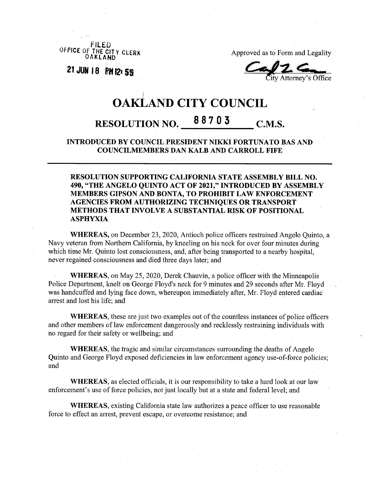OFFICE OF THE CITY CLERK

**<sup>21</sup> JOS <sup>18</sup> PH 055**

Approved as to Form and Legality

Attorney's Office

## *I* **OAKLAND CITY COUNCIL RESOLUTION NO. 8 <sup>8</sup> 7 <sup>0</sup> <sup>3</sup> C.M.S.**

**INTRODUCED BY COUNCIL PRESIDENT NIKKI FORTUNATO BAS AND COUNCILMEMBERS DAN KALB AND CARROLL FIFE**

**RESOLUTION SUPPORTING CALIFORNIA STATE ASSEMBLY BILL NO. 490, "THE ANGELO QUINTO ACT OF 2021," INTRODUCED BY ASSEMBLY MEMBERS GIPSON AND BONTA, TO PROHIBIT LAW ENFORCEMENT AGENCIES FROM AUTHORIZING TECHNIQUES OR TRANSPORT METHODS THAT INVOLVE A SUBSTANTIAL RISK OF POSITIONAL ASPHYXIA**

**WHEREAS,** on December 23, 2020, Antioch police officers restrained Angelo Quinto, a Navy veteran from Northern California, by kneeling on his neck for over four minutes during which time Mr. Quinto lost consciousness, and, after being transported to a nearby hospital, never regained consciousness and died three days later; and

**WHEREAS,** on May 25, 2020, Derek Chauvin, a police officer with the Minneapolis Police Department, knelt on George Floyd's neck for 9 minutes and 29 seconds after Mr. Floyd was handcuffed and lying face down, whereupon immediately after, Mr. Floyd entered cardiac arrest and lost his life; and

**WHEREAS**, these are just two examples out of the countless instances of police officers and other members of law enforcement dangerously and recklessly restraining individuals with no regard for their safety or wellbeing; and

**WHEREAS,** the tragic and similar circumstances surrounding the deaths of Angelo Quinto and George Floyd exposed deficiencies in law enforcement agency use-of-force policies; and

**WHEREAS,** as elected officials, it is our responsibility to take a hard look at our law enforcement's use of force policies, not just locally but at a state and federal level; and

**WHEREAS,** existing California state law authorizes a peace officer to use reasonable force to effect an arrest, prevent escape, or overcome resistance; and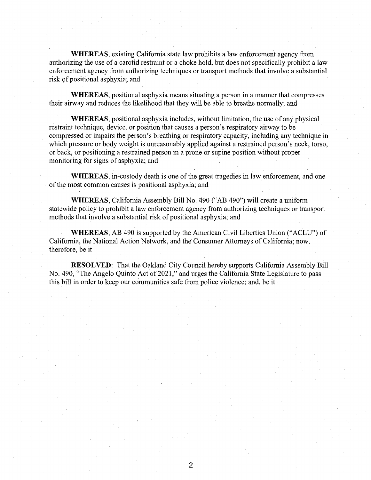WHEREAS, existing California state law prohibits a law enforcement agency from authorizing the use of a carotid restraint or a choke hold, but does not specifically prohibit a law enforcement agency from authorizing techniques or transport methods that involve a substantial risk of positional asphyxia; and

WHEREAS, positional asphyxia means situating a person in a manner that compresses their airway and reduces the likelihood that they will be able to breathe normally; and

WHEREAS, positional asphyxia includes, without limitation, the use of any physical restraint technique, device, or position that causes a person's respiratory airway to be compressed or impairs the person's breathing or respiratory capacity, including any technique in which pressure or body weight is unreasonably applied against a restrained person's neck, torso, or back, or positioning a restrained person in a prone or supine position without proper monitoring for signs of asphyxia; and

WHEREAS, in-custody death is one of the great tragedies in law enforcement, and one of the most common causes is positional asphyxia; and

WHEREAS, California Assembly Bill No. 490 ("AB 490") will create a uniform statewide policy to prohibit a law enforcement agency from authorizing techniques or transport methods that involve a substantial risk of positional asphyxia; and

WHEREAS, AB 490 is supported by the American Civil Liberties Union ("ACLU") of California, the National Action Network, and the Consumer Attorneys of California; now, therefore, be it

**RESOLVED:** That the Oakland City Council hereby supports California Assembly Bill No. 490, "The Angelo Quinto Act of 2021," and urges the California State Legislature to pass this bill in order to keep our communities safe from police violence; and, be it